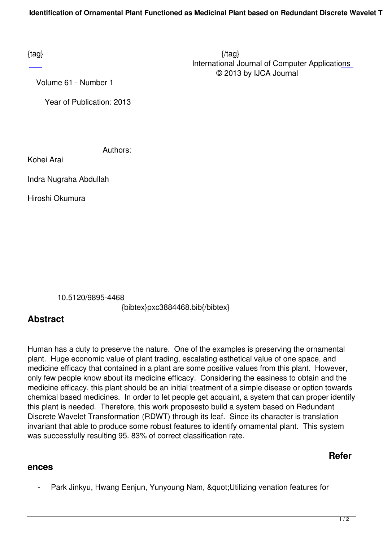Volume 61 - Number 1

Year of Publication: 2013

Authors:

Kohei Arai

Indra Nugraha Abdullah

Hiroshi Okumura

10.5120/9895-4468

{bibtex}pxc3884468.bib{/bibtex}

## **Abstract**

Human has a duty to preserve the nature. One of the examples is preserving the ornamental plant. Huge economic value of plant trading, escalating esthetical value of one space, and medicine efficacy that contained in a plant are some positive values from this plant. However, only few people know about its medicine efficacy. Considering the easiness to obtain and the medicine efficacy, this plant should be an initial treatment of a simple disease or option towards chemical based medicines. In order to let people get acquaint, a system that can proper identify this plant is needed. Therefore, this work proposesto build a system based on Redundant Discrete Wavelet Transformation (RDWT) through its leaf. Since its character is translation invariant that able to produce some robust features to identify ornamental plant. This system was successfully resulting 95. 83% of correct classification rate.

## **Refer**

## **ences**

Park Jinkyu, Hwang Eenjun, Yunyoung Nam, " Utilizing venation features for